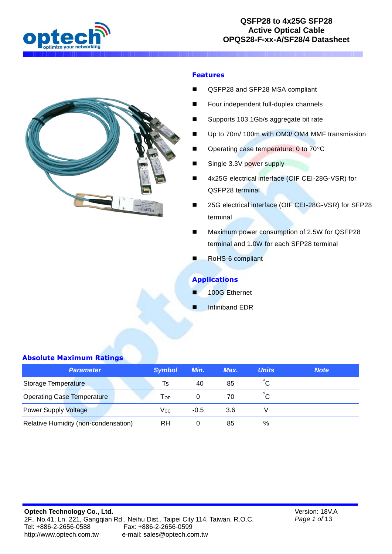



### **Features**

- QSFP28 and SFP28 MSA compliant
- Four independent full-duplex channels
- Supports 103.1Gb/s aggregate bit rate
- Up to 70m/ 100m with OM3/ OM4 MMF transmission
- Operating case temperature: 0 to 70°C
- Single 3.3V power supply
- 4x25G electrical interface (OIF CEI-28G-VSR) for QSFP28 terminal
- 25G electrical interface (OIF CEI-28G-VSR) for SFP28 terminal
- Maximum power consumption of 2.5W for QSFP28 terminal and 1.0W for each SFP28 terminal
- RoHS-6 compliant

### **Applications**

- 100G Ethernet
- Infiniband EDR

#### **Absolute Maximum Ratings**

| <b>Parameter</b>                     | <b>Symbol</b> | Min.   | Max. | <b>Units</b> | <b>Note</b> |
|--------------------------------------|---------------|--------|------|--------------|-------------|
| Storage Temperature                  | Ts            | $-40$  | 85   | $^{\circ}$ C |             |
| <b>Operating Case Temperature</b>    | Тор           |        | 70   | $^{\circ}$ C |             |
| <b>Power Supply Voltage</b>          | Vcc.          | $-0.5$ | 3.6  |              |             |
| Relative Humidity (non-condensation) | RH.           |        | 85   | %            |             |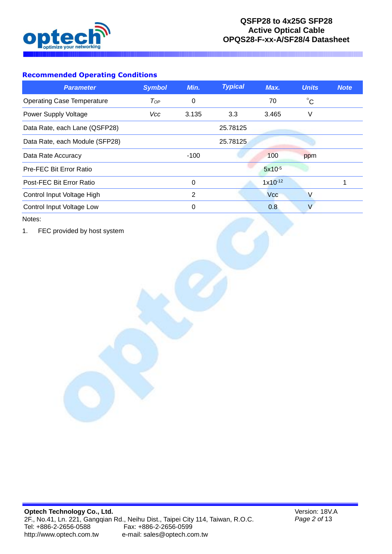

## **Recommended Operating Conditions**

| <b>Parameter</b>                  | <b>Symbol</b> | Min.  | <b>Typical</b> | Max.         | <b>Units</b> | <b>Note</b> |
|-----------------------------------|---------------|-------|----------------|--------------|--------------|-------------|
| <b>Operating Case Temperature</b> | $T_{OP}$      | 0     |                | 70           | $^{\circ}C$  |             |
| Power Supply Voltage              | Vcc           | 3.135 | 3.3            | 3.465        | V            |             |
| Data Rate, each Lane (QSFP28)     |               |       | 25.78125       |              |              |             |
| Data Rate, each Module (SFP28)    |               |       | 25.78125       |              |              |             |
| Data Rate Accuracy                |               | -100  |                | 100          | ppm          |             |
| Pre-FEC Bit Error Ratio           |               |       |                | $5x10^{-5}$  |              |             |
| Post-FEC Bit Error Ratio          |               | 0     |                | $1x10^{-12}$ |              |             |
| Control Input Voltage High        |               | 2     |                | <b>Vcc</b>   |              |             |
| Control Input Voltage Low         |               | 0     |                | 0.8          |              |             |

Notes:

1. FEC provided by host system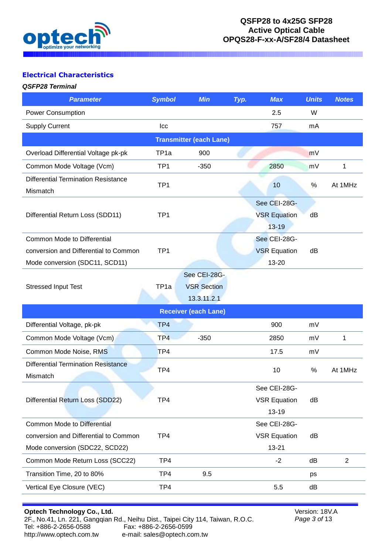

# **Electrical Characteristics**

### *QSFP28 Terminal*

| <b>Parameter</b>                                       | <b>Symbol</b>    | <b>Min</b>                                        | Typ. | <b>Max</b>                                       | <b>Units</b> | <b>Notes</b>   |
|--------------------------------------------------------|------------------|---------------------------------------------------|------|--------------------------------------------------|--------------|----------------|
| <b>Power Consumption</b>                               |                  |                                                   |      | 2.5                                              | W            |                |
| <b>Supply Current</b>                                  | Icc              |                                                   |      | 757                                              | mA           |                |
|                                                        |                  | <b>Transmitter (each Lane)</b>                    |      |                                                  |              |                |
| Overload Differential Voltage pk-pk                    | TP <sub>1a</sub> | 900                                               |      |                                                  | mV           |                |
| Common Mode Voltage (Vcm)                              | TP <sub>1</sub>  | $-350$                                            |      | 2850                                             | mV           | 1              |
| <b>Differential Termination Resistance</b><br>Mismatch | TP <sub>1</sub>  |                                                   |      | 10                                               | %            | At 1MHz        |
| Differential Return Loss (SDD11)                       | TP <sub>1</sub>  |                                                   |      | See CEI-28G-<br><b>VSR Equation</b><br>$13 - 19$ | dB           |                |
| <b>Common Mode to Differential</b>                     |                  |                                                   |      | See CEI-28G-                                     |              |                |
| conversion and Differential to Common                  | TP <sub>1</sub>  |                                                   |      | <b>VSR Equation</b>                              | dB           |                |
| Mode conversion (SDC11, SCD11)                         |                  |                                                   |      | 13-20                                            |              |                |
| <b>Stressed Input Test</b>                             | TP <sub>1a</sub> | See CEI-28G-<br><b>VSR Section</b><br>13.3.11.2.1 |      |                                                  |              |                |
|                                                        |                  | <b>Receiver (each Lane)</b>                       |      |                                                  |              |                |
| Differential Voltage, pk-pk                            | TP4              |                                                   |      | 900                                              | mV           |                |
| Common Mode Voltage (Vcm)                              | TP <sub>4</sub>  | $-350$                                            |      | 2850                                             | mV           | 1              |
| Common Mode Noise, RMS                                 | TP4              |                                                   |      | 17.5                                             | mV           |                |
| <b>Differential Termination Resistance</b><br>Mismatch | TP4              |                                                   |      | 10                                               | %            | At 1MHz        |
|                                                        |                  |                                                   |      | See CEI-28G-                                     |              |                |
| Differential Return Loss (SDD22)                       | TP4              |                                                   |      | <b>VSR Equation</b>                              | dB           |                |
|                                                        |                  |                                                   |      | 13-19                                            |              |                |
| <b>Common Mode to Differential</b>                     |                  |                                                   |      | See CEI-28G-                                     |              |                |
| conversion and Differential to Common                  | TP4              |                                                   |      | <b>VSR Equation</b>                              | dB           |                |
| Mode conversion (SDC22, SCD22)                         |                  |                                                   |      | $13 - 21$                                        |              |                |
| Common Mode Return Loss (SCC22)                        | TP4              |                                                   |      | $-2$                                             | dB           | $\overline{2}$ |
| Transition Time, 20 to 80%                             | TP4              | 9.5                                               |      |                                                  | ps           |                |
| Vertical Eye Closure (VEC)                             | TP4              |                                                   |      | 5.5                                              | dB           |                |

Version: 18V.A *Page 3 of* 13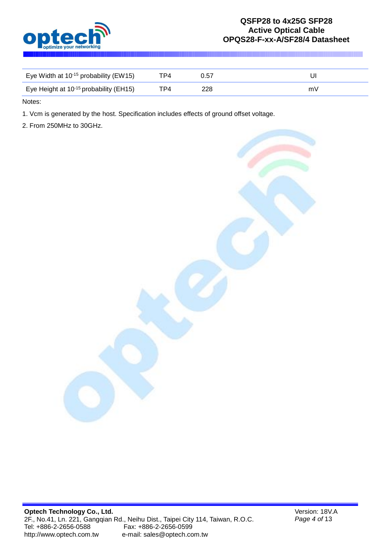

| Eye Width at $10^{-15}$ probability (EW15)         | тр4. | 0.57 |    |
|----------------------------------------------------|------|------|----|
| Eye Height at 10 <sup>-15</sup> probability (EH15) | TP4. | 228. | mV |

Notes:

1. Vcm is generated by the host. Specification includes effects of ground offset voltage.

2. From 250MHz to 30GHz.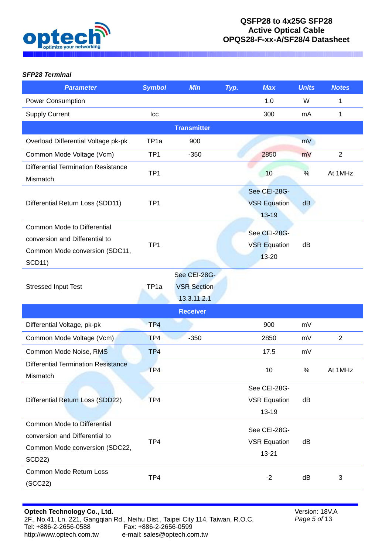

### *SFP28 Terminal*

| <b>Parameter</b>                                                                                                        | <b>Symbol</b>    | <b>Min</b>                                        | Typ. | <b>Max</b>                                       | <b>Units</b> | <b>Notes</b>   |
|-------------------------------------------------------------------------------------------------------------------------|------------------|---------------------------------------------------|------|--------------------------------------------------|--------------|----------------|
| <b>Power Consumption</b>                                                                                                |                  |                                                   |      | 1.0                                              | W            | 1              |
| <b>Supply Current</b>                                                                                                   | Icc              |                                                   |      | 300                                              | mA           | 1              |
|                                                                                                                         |                  | <b>Transmitter</b>                                |      |                                                  |              |                |
| Overload Differential Voltage pk-pk                                                                                     | TP <sub>1a</sub> | 900                                               |      |                                                  | mV           |                |
| Common Mode Voltage (Vcm)                                                                                               | TP <sub>1</sub>  | $-350$                                            |      | 2850                                             | mV           | $\overline{2}$ |
| <b>Differential Termination Resistance</b><br>Mismatch                                                                  | TP <sub>1</sub>  |                                                   |      | 10                                               | %            | At 1MHz        |
| Differential Return Loss (SDD11)                                                                                        | TP <sub>1</sub>  |                                                   |      | See CEI-28G-<br><b>VSR Equation</b><br>13-19     | dB           |                |
| Common Mode to Differential<br>conversion and Differential to<br>Common Mode conversion (SDC11,<br><b>SCD11)</b>        | TP <sub>1</sub>  |                                                   |      | See CEI-28G-<br><b>VSR Equation</b><br>13-20     | dB           |                |
| <b>Stressed Input Test</b>                                                                                              | TP <sub>1a</sub> | See CEI-28G-<br><b>VSR Section</b><br>13.3.11.2.1 |      |                                                  |              |                |
|                                                                                                                         |                  | <b>Receiver</b>                                   |      |                                                  |              |                |
| Differential Voltage, pk-pk                                                                                             | TP4              |                                                   |      | 900                                              | mV           |                |
| Common Mode Voltage (Vcm)                                                                                               | TP4              | $-350$                                            |      | 2850                                             | mV           | 2              |
| Common Mode Noise, RMS                                                                                                  | TP4              |                                                   |      | 17.5                                             | mV           |                |
| <b>Differential Termination Resistance</b><br>Mismatch                                                                  | TP4              |                                                   |      | 10                                               | %            | At 1MHz        |
| Differential Return Loss (SDD22)                                                                                        | TP4              |                                                   |      | See CEI-28G-<br><b>VSR Equation</b><br>$13 - 19$ | dB           |                |
| <b>Common Mode to Differential</b><br>conversion and Differential to<br>Common Mode conversion (SDC22,<br><b>SCD22)</b> | TP4              |                                                   |      | See CEI-28G-<br><b>VSR Equation</b><br>13-21     | dB           |                |
| <b>Common Mode Return Loss</b><br>(SCC22)                                                                               | TP4              |                                                   |      | $-2$                                             | dB           | 3              |

Version: 18V.A *Page 5 of* 13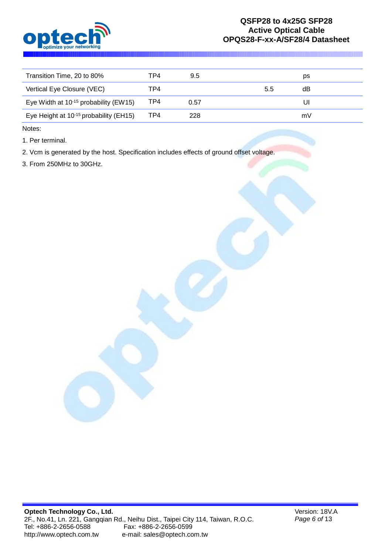

| Transition Time, 20 to 80%                         | TP4 | 9.5  |     | ps |
|----------------------------------------------------|-----|------|-----|----|
| Vertical Eye Closure (VEC)                         | TP4 |      | 5.5 | dB |
| Eye Width at $10^{-15}$ probability (EW15)         | TP4 | 0.57 |     | UI |
| Eye Height at 10 <sup>-15</sup> probability (EH15) | TP4 | 228  |     | mV |

Notes:

1. Per terminal.

2. Vcm is generated by the host. Specification includes effects of ground offset voltage.

3. From 250MHz to 30GHz.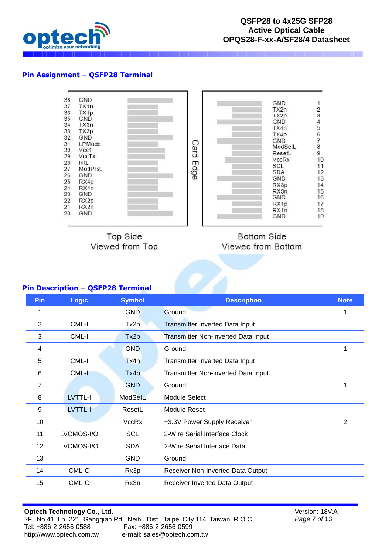

### **Pin Assignment – QSFP28 Terminal**



**Top Side** Viewed from Top

**Bottom Side** Viewed from Bottom

#### **Pin Description – QSFP28 Terminal**

| Pin | <b>Logic</b>   | <b>Symbol</b> | <b>Description</b>                         | <b>Note</b> |
|-----|----------------|---------------|--------------------------------------------|-------------|
| 1   |                | <b>GND</b>    | Ground                                     | 1           |
| 2   | CML-I          | Tx2n          | <b>Transmitter Inverted Data Input</b>     |             |
| 3   | CML-I          | Tx2p          | <b>Transmitter Non-inverted Data Input</b> |             |
| 4   |                | <b>GND</b>    | Ground                                     | 1           |
| 5   | CML-I          | Tx4n          | Transmitter Inverted Data Input            |             |
| 6   | CML-I          | Tx4p          | Transmitter Non-inverted Data Input        |             |
| 7   |                | <b>GND</b>    | Ground                                     | 1           |
| 8   | <b>LVTTL-I</b> | ModSelL       | <b>Module Select</b>                       |             |
| 9   | LVTTL-I        | ResetL        | <b>Module Reset</b>                        |             |
| 10  |                | <b>VccRx</b>  | +3.3V Power Supply Receiver                | 2           |
| 11  | LVCMOS-I/O     | <b>SCL</b>    | 2-Wire Serial Interface Clock              |             |
| 12  | LVCMOS-I/O     | <b>SDA</b>    | 2-Wire Serial Interface Data               |             |
| 13  |                | <b>GND</b>    | Ground                                     |             |
| 14  | CML-O          | Rx3p          | Receiver Non-Inverted Data Output          |             |
| 15  | CML-O          | Rx3n          | Receiver Inverted Data Output              |             |

Version: 18V.A *Page 7 of* 13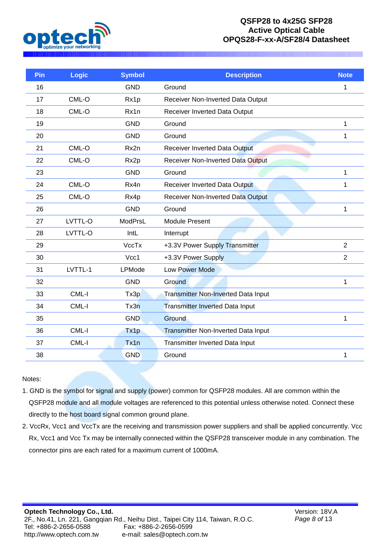

| Pin | <b>Logic</b> | <b>Symbol</b> | <b>Description</b>                         | <b>Note</b>    |
|-----|--------------|---------------|--------------------------------------------|----------------|
| 16  |              | <b>GND</b>    | Ground                                     | 1              |
| 17  | CML-O        | Rx1p          | Receiver Non-Inverted Data Output          |                |
| 18  | CML-O        | Rx1n          | Receiver Inverted Data Output              |                |
| 19  |              | <b>GND</b>    | Ground                                     | 1              |
| 20  |              | <b>GND</b>    | Ground                                     | 1              |
| 21  | CML-O        | Rx2n          | <b>Receiver Inverted Data Output</b>       |                |
| 22  | CML-O        | Rx2p          | <b>Receiver Non-Inverted Data Output</b>   |                |
| 23  |              | <b>GND</b>    | Ground                                     | 1              |
| 24  | CML-O        | Rx4n          | Receiver Inverted Data Output              | 1              |
| 25  | CML-O        | Rx4p          | <b>Receiver Non-Inverted Data Output</b>   |                |
| 26  |              | <b>GND</b>    | Ground                                     | 1              |
| 27  | LVTTL-O      | ModPrsL       | <b>Module Present</b>                      |                |
| 28  | LVTTL-O      | IntL          | Interrupt                                  |                |
| 29  |              | <b>VccTx</b>  | +3.3V Power Supply Transmitter             | $\overline{2}$ |
| 30  |              | Vcc1          | +3.3V Power Supply                         | $\overline{2}$ |
| 31  | LVTTL-1      | LPMode        | <b>Low Power Mode</b>                      |                |
| 32  |              | <b>GND</b>    | Ground                                     | 1              |
| 33  | CML-I        | Tx3p          | <b>Transmitter Non-Inverted Data Input</b> |                |
| 34  | CML-I        | Tx3n          | <b>Transmitter Inverted Data Input</b>     |                |
| 35  |              | <b>GND</b>    | Ground                                     | 1              |
| 36  | CML-I        | Tx1p          | <b>Transmitter Non-Inverted Data Input</b> |                |
| 37  | CML-I        | Tx1n          | Transmitter Inverted Data Input            |                |
| 38  |              | <b>GND</b>    | Ground                                     | 1              |

#### Notes:

- 1. GND is the symbol for signal and supply (power) common for QSFP28 modules. All are common within the QSFP28 module and all module voltages are referenced to this potential unless otherwise noted. Connect these directly to the host board signal common ground plane.
- 2. VccRx, Vcc1 and VccTx are the receiving and transmission power suppliers and shall be applied concurrently. Vcc Rx, Vcc1 and Vcc Tx may be internally connected within the QSFP28 transceiver module in any combination. The connector pins are each rated for a maximum current of 1000mA.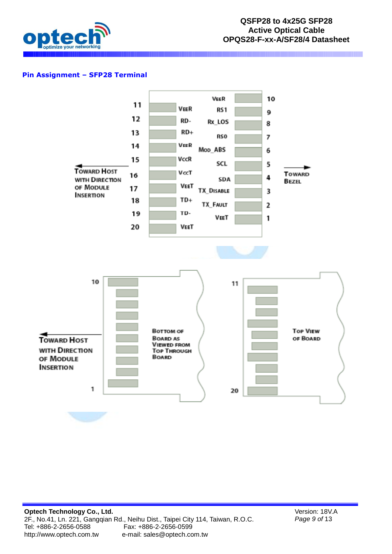

## **Pin Assignment – SFP28 Terminal**



Version: 18V.A *Page 9 of* 13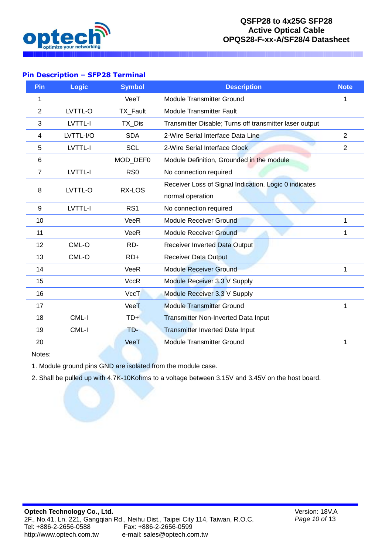

### **Pin Description – SFP28 Terminal**

| Pin            | Logic     | <b>Symbol</b>   | <b>Description</b>                                      | <b>Note</b>    |
|----------------|-----------|-----------------|---------------------------------------------------------|----------------|
| 1              |           | VeeT            | <b>Module Transmitter Ground</b>                        | 1              |
| $\overline{2}$ | LVTTL-O   | TX_Fault        | <b>Module Transmitter Fault</b>                         |                |
| 3              | LVTTL-I   | TX_Dis          | Transmitter Disable; Turns off transmitter laser output |                |
| 4              | LVTTL-I/O | <b>SDA</b>      | 2-Wire Serial Interface Data Line                       | $\overline{2}$ |
| 5              | LVTTL-I   | <b>SCL</b>      | 2-Wire Serial Interface Clock                           | $\overline{2}$ |
| 6              |           | MOD_DEF0        | Module Definition, Grounded in the module               |                |
| $\overline{7}$ | LVTTL-I   | R <sub>S0</sub> | No connection required                                  |                |
| 8              | LVTTL-O   | RX-LOS          | Receiver Loss of Signal Indication. Logic 0 indicates   |                |
|                |           |                 | normal operation                                        |                |
| 9              | LVTTL-I   | RS <sub>1</sub> | No connection required                                  |                |
| 10             |           | VeeR            | <b>Module Receiver Ground</b>                           | 1              |
| 11             |           | VeeR            | <b>Module Receiver Ground</b>                           | 1              |
| 12             | CML-O     | RD-             | <b>Receiver Inverted Data Output</b>                    |                |
| 13             | CML-O     | $RD+$           | <b>Receiver Data Output</b>                             |                |
| 14             |           | VeeR            | <b>Module Receiver Ground</b>                           | 1              |
| 15             |           | <b>VccR</b>     | Module Receiver 3.3 V Supply                            |                |
| 16             |           | <b>VccT</b>     | Module Receiver 3.3 V Supply                            |                |
| 17             |           | VeeT            | <b>Module Transmitter Ground</b>                        | 1              |
| 18             | CML-I     | TD+             | <b>Transmitter Non-Inverted Data Input</b>              |                |
| 19             | CML-I     | TD-             | <b>Transmitter Inverted Data Input</b>                  |                |
| 20             |           | VeeT            | <b>Module Transmitter Ground</b>                        | 1              |

Notes:

1. Module ground pins GND are isolated from the module case.

2. Shall be pulled up with 4.7K-10Kohms to a voltage between 3.15V and 3.45V on the host board.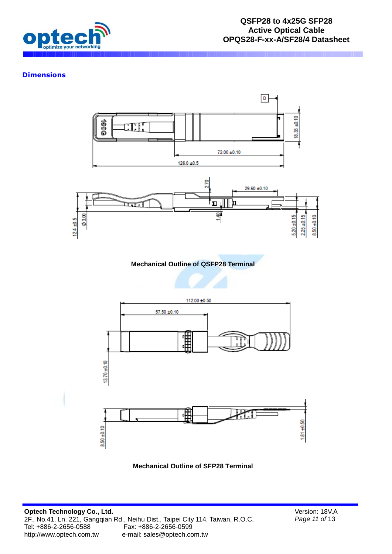

## **Dimensions**



**Mechanical Outline of SFP28 Terminal**

Version: 18V.A *Page 11 of* 13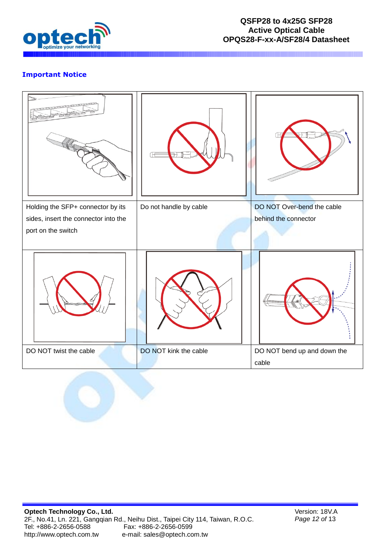

# **Important Notice**